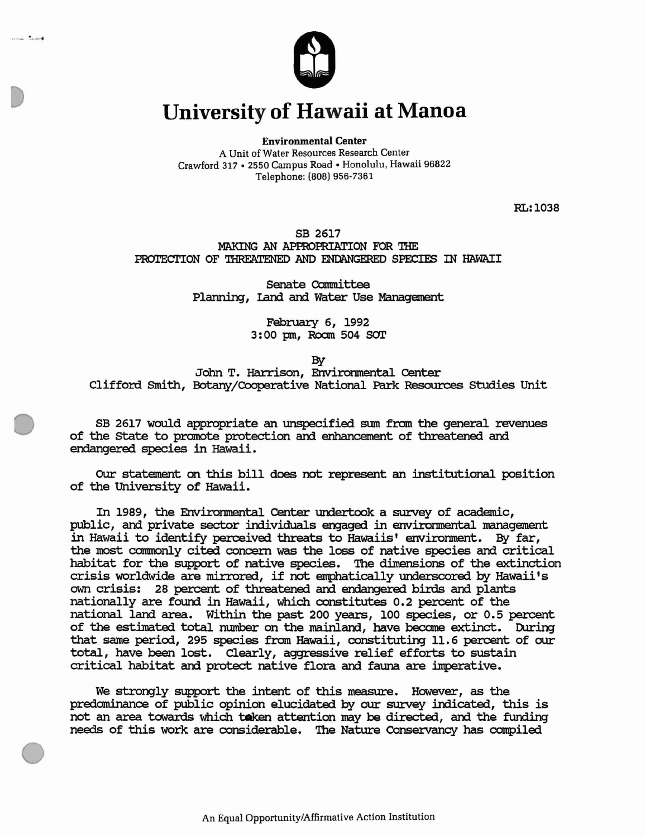

and the same

## **University of Hawaii at Manoa**

Environmental Center

A Unit of Water Resources Research Center Crawford 317 • 2550 Campus Road· Honolulu. Hawaii 96822 Telephone: (808) 956-7361

RL:I038

## SB 2617

MAKING AN APPROPRIATION FOR THE PROTECTION OF THREATENED AND ENDANGERED SPECIES IN HAWAII

> Senate Committee Planning, land and water Use Management

> > February 6, 1992 3: 00 pm, Roam 504 sor

> > > By

John T. Harrison, Envirornnental center Clifford smith, Botany/Cooperative National Park Resources studies Unit

SB 2617 would appropriate an unspecified sum from the general revenues of the state to promote protection and enhancement of threatened and endangered species in Hawaii.

OUr statement on this bill does not represent an institutional position of the University of Hawaii.

In 1989, the Envirornnental center undertook a survey of academic, public, and private sector individuals engaged in envirornnental management in Hawaii to identify perceiVed threats to Hawaiis' envirornnent. By far, the most commonly cited concern was the loss of native species and critical habitat for the support of native species. The dimensions of the extinction crisis worldwide are mirrored, if not emphatically underscored by Hawaii's own crisis: 28 percent of threatened and endangered birds and plants nationally are found in Hawaii, which constitutes 0.2 percent of the national land area. Within the past 200 years, 100 species, or 0.5 percent of the estimated total number on the mainland, have become extinct. During that same period, 295 species from Hawaii, constituting 11.6 percent of our total, have been lost. Clearly, aggressive relief efforts to sustain critical habitat and protect native flora and fauna are imperative.

We strongly support the intent of this measure. However, as the predominance of public opinion elucidated by our survey indicated, this is not an area towards which tooken attention may be directed, and the funding needs of this work are considerable. The Nature COnservancy has compiled